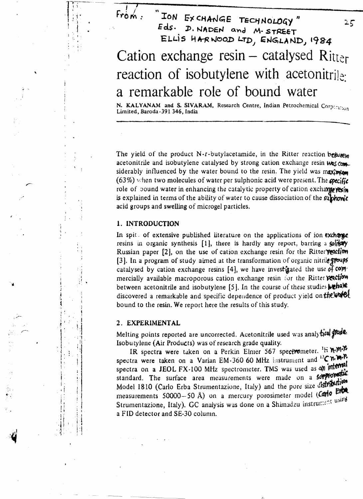# $Frobm$ ION EXCHANGE TECHNOLOGY" Eds. D. NADEN and M. STREET ELLIS HARNOOD LTD, ENGLAND, 1984 Cation exchange  $resin - catalysed Ritter$ reaction of isobutylene with acetonitrile a remarkable role of bound water

N. KALYANAM and S. SIVARAM, Research Centre, Indian Petrochemical Corpinition Limited, Baroda-391 346, India

The yield of the product N-t-butylacetamide, in the Ritter reaction betweet acetonitrile and isobutylene catalysed by strong cation exchange resin was comsiderably influenced by the water bound to the resin. The yield was maximian  $(63%)$  when two molecules of water per sulphonic acid were present. The specific role of bound water in enhancing the catalytic property of cation exchange yesin is explained in terms of the ability of water to cause dissociation of the suphomic acid groups and swelling of microgel particles.

# 1. INTRODUCTION

In spit. of extensive published literature on the applications of ion exchange resins in organic synthesis  $[1]$ , there is hardly any report, barring a solitory Russian paper [2], on the use of cation exchange resin for the Ritter [3]. In a program of study aimed at the transformation of organic nitrile groups catalysed by cation exchange resins [4], we have investigated the use of commercially available macroporous cation exchange resin for the Ritter vection between acetonitrile and isobutylene [5]. In the course of these studies **Mehale** discovered a remarkable and specific dependence of product yield on the world bound to the resin. We report here the results of this study.

### 2. EXPERIMENTAL

Melting points reported are uncorrected. Acetonitrile used was analy tied was Isobutylene (Air Products) was of research grade quality.

IR spectra were taken on a Perkin Elmer 567 spectrometer. <sup>1</sup>H n.m. spectra were taken on a Varian EM-360 60 MHz instrument and <sup>13</sup>C n.W.P. spectra on a JEOL FX-100 MHz spectrometer. TMS was used as an internal standard. The surface area measurements were made on a sorpromatic Model 1810 (Carlo Erba Strumentazione, Italy) and the pore size distribution measurements 50000-50 Å) on a mercury porosimeter model (Carlo Erba Strumentazione, Italy). GC analysis was done on a Shimadzu instrument using a FID detector and SE-30 column.

 $25$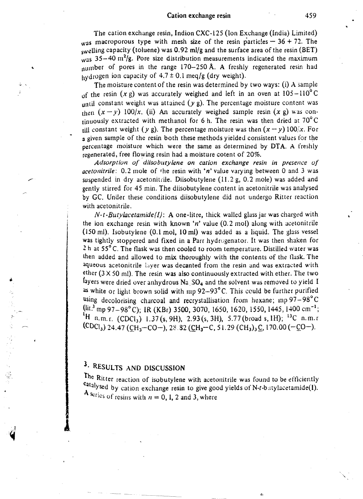The cation exchange resin, Indion CXC·125 (Ion Exchange (India) Limited) was macroporous type with mesh size of the resin particles  $-36 + 72$ . The swelling capacity (toluene) was 0.92 mI/g and the surface area of the resin (BET) was  $35-40$  m<sup>2</sup>/g. Pore size distribution measurements indicated the maximum number of pores in the range 170-250 Å. A freshly regenerated resin had hydrogen ion capacity of  $4.7 \pm 0.1$  meq/g (dry weight).

The moisture content of the resin was determined by two ways: (i) A sample of the resin (x g) was accurately weighed and left in an oven at  $105-110^{\circ}$ C until constant weight was attained  $(y g)$ . The percentage moisture content was then  $(x - y)$  100/x. (ii) An accurately weighed sample resin  $(x g)$  was continuously extracted with methanol for 6 h. The resin was then dried at  $70^{\circ}$ C fill constant weight (y g). The percentage moisture was then  $(x - y)$  100/x. For a given sample of the resin both these methods yielded consistent values for the percentage moisture which were the same as determined by DTA. A freshly regenerated, free flowing resin had a moisture cotent of 20%.

*Adsorption of diisobutylene on cation exchange resin in presence of acetonitrile:* 0.2 mole of the resin with *'n'* value varying between 0 and 3 was suspended in dry acetonitrile. Diisobutylene (11.2 g, 0.2 mole) was added and gently stirred for 45 min. The diisobutylene content in acetonitrile was analysed by GC. Under these conditions diisobutylene did not undergo Ritter reaction with acetonitrile.

*N-t-Butylacetamide(/):* A one·litre, thick walled glass jar was charged with the ion exchange resin with known *'n'* value (0.2 mol) along with acetonitrile  $(150 \text{ ml})$ . Isobutylene  $(0.1 \text{ mol}, 10 \text{ ml})$  was added as a liquid. The glass vessel was tightly stoppered and fixed in a Parr hydrogenator. It was then shaken for 2 h at 55°C. The flask was then cooled to room temperature. Distilled water was then added and allowed to mix thoroughly with the contents of the flask. The aqueous acetonitrile layer was decanted from the resin and was extracted with ether  $(3 \times 50 \text{ ml})$ . The resin was also continuously extracted with ether. The two layers were dried over anhydrous  $Na<sub>1</sub>SO<sub>4</sub>$  and the solvent was removed to yield I as white or light brown solid with mp  $92-93^{\circ}$ C. This could be further purified using decolorising charcoal and recrystallisation from hexane; mp  $97-98^{\circ}$ C  $\left(\frac{\ln 3}{2} \text{mp } 97 - 98^{\circ} \text{C}\right)$ ; IR (KBr) 3500, 3070, 1650, 1620, 1550, 1445, 1400 cm<sup>-1</sup>; <sup>1</sup>H n.m.r. (CDCl<sub>3</sub>) 1.37(s, 9H), 2.93(s, 3H), 5.77(broad s, 1H); <sup>13</sup>C n.m.r.  $(CDCI_3)$  24.47 (CH<sub>3</sub>-CO-), 28.82 (CH<sub>3</sub>-C, 51.29 (CH<sub>3</sub>)<sub>3</sub>C, 170.00 (-CO-).

# 3. RESULTS AND DISCUSSION

 $\mathbf{.}$ :~ The Ritter reaction of isobutylene with acetonitrile was found to be efficiently catalysed by cation exchange resin to give good yields of N-t-batylacetamide(I). A series of resins with  $n = 0$ , 1, 2 and 3, where

(,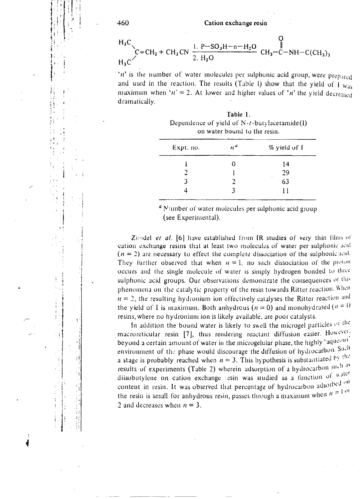$$
H_3C
$$
  
\n $C = CH_2 + CH_3 CN \frac{1. P - SO_3H - n - H_2O}{2. H_2O} CH_3-C-NH-C(CH_3)_3$ 

 $n$  is the number of water molecules per sulphonic acid group, were prepared and used in the reaction. The results (Table 1) show that the yield of  $\overline{1}_{\text{Wag}}$ maximum when ' $n' = 2$ . At lower and higher values of 'n' the yield decreased dramatically.

| Table 1.                                        |
|-------------------------------------------------|
| Dependence of yield of $N-t$ -butylacetamide(1) |
| on water bound to the resin.                    |

| Expt. no. | n <sup>u</sup> | % yield of I |
|-----------|----------------|--------------|
|           | 0              | 14           |
|           |                | 29           |
| 3         | 2              | 63           |
|           | ર              |              |

<sup>a</sup> Number of water molecules per sulphonic acid group (see Experimental).

Zundel et al. [6] have established from IR studies of very thin films of cation exchange resins that at least two molecules of water per sulphonic acid  $(n = 2)$  are necessary to effect the complete dissociation of the sulphonic acid-They further observed that when  $n = 1$ , no such dissociation of the proton occurs and the single molecule of water is simply hydrogen bonded to three sulphonic acid groups. Our observations demonstrate the consequences of this phenomena on the catalytic property of the resin towards Ritter reaction. When  $n = 2$ , the resulting hydronium ion effectively catalyses the Ritter reaction and the yield of I is maximum. Both anhydrous  $(n = 0)$  and monohydrated  $(n = 1)$ resins, where no hydronium ion is likely available, are poor catalysts.

In addition the bound water is likely to swell the microgel particles of the macroreticular resin [7], thus rendering reactant diffusion easier. However, beyond a certain amount of water in the microgelular phase, the highly 'aqueous' environment of the phase would discourage the diffusion of hydrocarbon. Such a stage is probably reached when  $n = 3$ . This hypothesis is substantiated by the results of experiments (Table 2) wherein adsorption of a hydrocarbon such as diisobutylene on cation exchange tesin was studied as a function of water content in resin. It was observed that percentage of hydrocarbon adsorbed on the resin is small for anhydrous resin, passes through a maximum when  $n = 1$  or 2 and decreases when  $n = 3$ .

460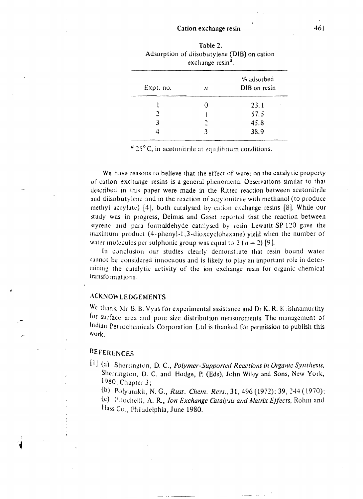| exchange resin". |                            |  |  |
|------------------|----------------------------|--|--|
| n                | % adsorbed<br>DIB on resin |  |  |
|                  | 23.1                       |  |  |
|                  | 57.5                       |  |  |
| ∍                | 45.8                       |  |  |
| 3                | 38.9                       |  |  |
|                  |                            |  |  |

| Table 2.                                    |
|---------------------------------------------|
| Adsorption of diisobutylene (DIB) on cation |
| exchange $resina$ .                         |
|                                             |

*a* 25° C, in acetonitrile at equilibrium conditions.

We have reasons to believe that the effect of water on the catalytic property of cation exchange resins is a general phenomena. Observations similar to that described in this paper were made in the Ritter reaction between acetonitrile and diisobutylene and in the reaction of acrylonitrile with methanol (to produce methyl acrylate)  $[4]$ , both catalysed by cation exchange resins  $[8]$ . While our study was in progress, Delmas and Gaset reported that the reaction between styrene and para formaldehyde catalysed by resin Lewatit SP 120 gave the maximum product  $(4$ -phenyl-1,3-dioxcyclohexane) yield when the number of water molecules per sulphonic group was equal to  $2 (n = 2) [9]$ .

In conclusion our studies clearly demonstrate that resin bound water call call the considered innocuous and is likely to play an important role in determining the catalytic activity of the ion exchange resin for organic chemical transfo rmations.

## **ACKNOWLEDGEMENTS**

We thank Mr B. B. Vyas for experimental assistance and Dr K. R. K; ishnamurthy for surface area and pore size distribution measurements. The management of Indian Petrochemicals Corporation Ltd is thanked for permission to publish this Work.

# REFERENCES

 $\blacksquare$ 

[1] (a) Sherrington, D. C., *Polymer-Supported Reactions in Organic Synthesis*, Sherrington, D. C. and Hodge, P. (Eds), John Wiley and Sons, New York, 1980, Chapter  $3$ ;

(b) Polyanskii, N. G., *Russ. Chem. Revs.*, 31, 496 (1972); 39, 244 (1970);

(c) *Sitochelli, A. R., Ion Exchange Catalysis and Matrix Effects, Rohm and* Hass Co., Philadelphia, June 1980.